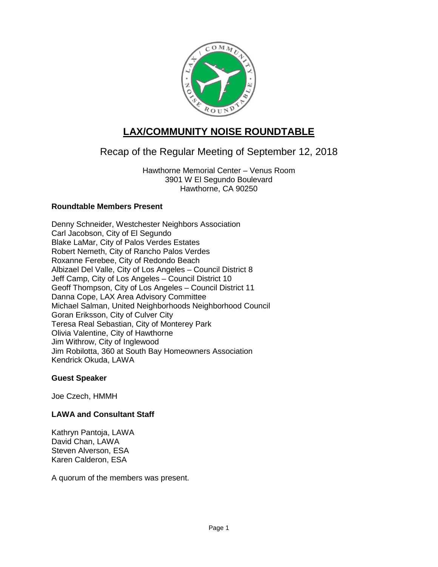

# **LAX/COMMUNITY NOISE ROUNDTABLE**

## Recap of the Regular Meeting of September 12, 2018

Hawthorne Memorial Center – Venus Room 3901 W El Segundo Boulevard Hawthorne, CA 90250

## **Roundtable Members Present**

Denny Schneider, Westchester Neighbors Association Carl Jacobson, City of El Segundo Blake LaMar, City of Palos Verdes Estates Robert Nemeth, City of Rancho Palos Verdes Roxanne Ferebee, City of Redondo Beach Albizael Del Valle, City of Los Angeles – Council District 8 Jeff Camp, City of Los Angeles – Council District 10 Geoff Thompson, City of Los Angeles – Council District 11 Danna Cope, LAX Area Advisory Committee Michael Salman, United Neighborhoods Neighborhood Council Goran Eriksson, City of Culver City Teresa Real Sebastian, City of Monterey Park Olivia Valentine, City of Hawthorne Jim Withrow, City of Inglewood Jim Robilotta, 360 at South Bay Homeowners Association Kendrick Okuda, LAWA

## **Guest Speaker**

Joe Czech, HMMH

## **LAWA and Consultant Staff**

Kathryn Pantoja, LAWA David Chan, LAWA Steven Alverson, ESA Karen Calderon, ESA

A quorum of the members was present.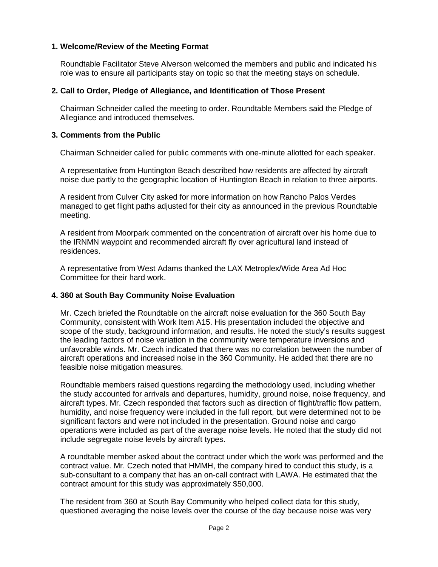#### **1. Welcome/Review of the Meeting Format**

Roundtable Facilitator Steve Alverson welcomed the members and public and indicated his role was to ensure all participants stay on topic so that the meeting stays on schedule.

#### **2. Call to Order, Pledge of Allegiance, and Identification of Those Present**

Chairman Schneider called the meeting to order. Roundtable Members said the Pledge of Allegiance and introduced themselves.

#### **3. Comments from the Public**

Chairman Schneider called for public comments with one-minute allotted for each speaker.

A representative from Huntington Beach described how residents are affected by aircraft noise due partly to the geographic location of Huntington Beach in relation to three airports.

A resident from Culver City asked for more information on how Rancho Palos Verdes managed to get flight paths adjusted for their city as announced in the previous Roundtable meeting.

A resident from Moorpark commented on the concentration of aircraft over his home due to the IRNMN waypoint and recommended aircraft fly over agricultural land instead of residences.

A representative from West Adams thanked the LAX Metroplex/Wide Area Ad Hoc Committee for their hard work.

#### **4. 360 at South Bay Community Noise Evaluation**

Mr. Czech briefed the Roundtable on the aircraft noise evaluation for the 360 South Bay Community, consistent with Work Item A15. His presentation included the objective and scope of the study, background information, and results. He noted the study's results suggest the leading factors of noise variation in the community were temperature inversions and unfavorable winds. Mr. Czech indicated that there was no correlation between the number of aircraft operations and increased noise in the 360 Community. He added that there are no feasible noise mitigation measures.

Roundtable members raised questions regarding the methodology used, including whether the study accounted for arrivals and departures, humidity, ground noise, noise frequency, and aircraft types. Mr. Czech responded that factors such as direction of flight/traffic flow pattern, humidity, and noise frequency were included in the full report, but were determined not to be significant factors and were not included in the presentation. Ground noise and cargo operations were included as part of the average noise levels. He noted that the study did not include segregate noise levels by aircraft types.

A roundtable member asked about the contract under which the work was performed and the contract value. Mr. Czech noted that HMMH, the company hired to conduct this study, is a sub-consultant to a company that has an on-call contract with LAWA. He estimated that the contract amount for this study was approximately \$50,000.

The resident from 360 at South Bay Community who helped collect data for this study, questioned averaging the noise levels over the course of the day because noise was very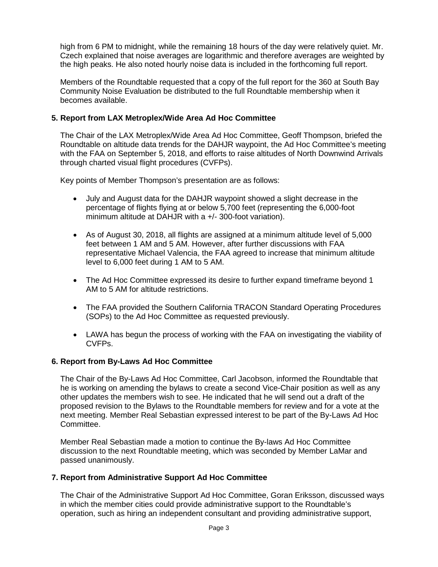high from 6 PM to midnight, while the remaining 18 hours of the day were relatively quiet. Mr. Czech explained that noise averages are logarithmic and therefore averages are weighted by the high peaks. He also noted hourly noise data is included in the forthcoming full report.

Members of the Roundtable requested that a copy of the full report for the 360 at South Bay Community Noise Evaluation be distributed to the full Roundtable membership when it becomes available.

#### **5. Report from LAX Metroplex/Wide Area Ad Hoc Committee**

The Chair of the LAX Metroplex/Wide Area Ad Hoc Committee, Geoff Thompson, briefed the Roundtable on altitude data trends for the DAHJR waypoint, the Ad Hoc Committee's meeting with the FAA on September 5, 2018, and efforts to raise altitudes of North Downwind Arrivals through charted visual flight procedures (CVFPs).

Key points of Member Thompson's presentation are as follows:

- July and August data for the DAHJR waypoint showed a slight decrease in the percentage of flights flying at or below 5,700 feet (representing the 6,000-foot minimum altitude at DAHJR with a +/- 300-foot variation).
- As of August 30, 2018, all flights are assigned at a minimum altitude level of 5,000 feet between 1 AM and 5 AM. However, after further discussions with FAA representative Michael Valencia, the FAA agreed to increase that minimum altitude level to 6,000 feet during 1 AM to 5 AM.
- The Ad Hoc Committee expressed its desire to further expand timeframe beyond 1 AM to 5 AM for altitude restrictions.
- The FAA provided the Southern California TRACON Standard Operating Procedures (SOPs) to the Ad Hoc Committee as requested previously.
- LAWA has begun the process of working with the FAA on investigating the viability of CVFPs.

#### **6. Report from By-Laws Ad Hoc Committee**

The Chair of the By-Laws Ad Hoc Committee, Carl Jacobson, informed the Roundtable that he is working on amending the bylaws to create a second Vice-Chair position as well as any other updates the members wish to see. He indicated that he will send out a draft of the proposed revision to the Bylaws to the Roundtable members for review and for a vote at the next meeting. Member Real Sebastian expressed interest to be part of the By-Laws Ad Hoc Committee.

Member Real Sebastian made a motion to continue the By-laws Ad Hoc Committee discussion to the next Roundtable meeting, which was seconded by Member LaMar and passed unanimously.

#### **7. Report from Administrative Support Ad Hoc Committee**

The Chair of the Administrative Support Ad Hoc Committee, Goran Eriksson, discussed ways in which the member cities could provide administrative support to the Roundtable's operation, such as hiring an independent consultant and providing administrative support,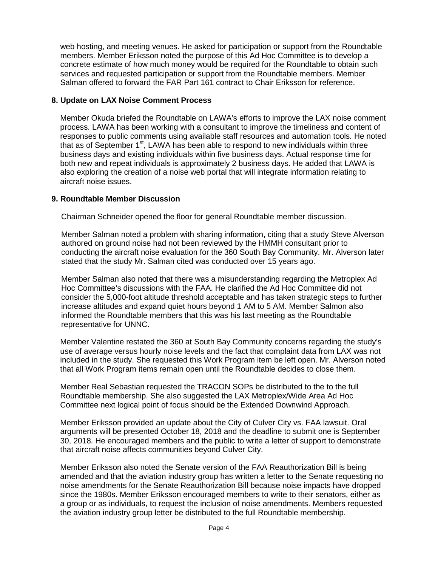web hosting, and meeting venues. He asked for participation or support from the Roundtable members. Member Eriksson noted the purpose of this Ad Hoc Committee is to develop a concrete estimate of how much money would be required for the Roundtable to obtain such services and requested participation or support from the Roundtable members. Member Salman offered to forward the FAR Part 161 contract to Chair Eriksson for reference.

#### **8. Update on LAX Noise Comment Process**

Member Okuda briefed the Roundtable on LAWA's efforts to improve the LAX noise comment process. LAWA has been working with a consultant to improve the timeliness and content of responses to public comments using available staff resources and automation tools. He noted that as of September  $1<sup>st</sup>$ , LAWA has been able to respond to new individuals within three business days and existing individuals within five business days. Actual response time for both new and repeat individuals is approximately 2 business days. He added that LAWA is also exploring the creation of a noise web portal that will integrate information relating to aircraft noise issues.

#### **9. Roundtable Member Discussion**

Chairman Schneider opened the floor for general Roundtable member discussion.

Member Salman noted a problem with sharing information, citing that a study Steve Alverson authored on ground noise had not been reviewed by the HMMH consultant prior to conducting the aircraft noise evaluation for the 360 South Bay Community. Mr. Alverson later stated that the study Mr. Salman cited was conducted over 15 years ago.

Member Salman also noted that there was a misunderstanding regarding the Metroplex Ad Hoc Committee's discussions with the FAA. He clarified the Ad Hoc Committee did not consider the 5,000-foot altitude threshold acceptable and has taken strategic steps to further increase altitudes and expand quiet hours beyond 1 AM to 5 AM. Member Salmon also informed the Roundtable members that this was his last meeting as the Roundtable representative for UNNC.

Member Valentine restated the 360 at South Bay Community concerns regarding the study's use of average versus hourly noise levels and the fact that complaint data from LAX was not included in the study. She requested this Work Program item be left open. Mr. Alverson noted that all Work Program items remain open until the Roundtable decides to close them.

Member Real Sebastian requested the TRACON SOPs be distributed to the to the full Roundtable membership. She also suggested the LAX Metroplex/Wide Area Ad Hoc Committee next logical point of focus should be the Extended Downwind Approach.

Member Eriksson provided an update about the City of Culver City vs. FAA lawsuit. Oral arguments will be presented October 18, 2018 and the deadline to submit one is September 30, 2018. He encouraged members and the public to write a letter of support to demonstrate that aircraft noise affects communities beyond Culver City.

Member Eriksson also noted the Senate version of the FAA Reauthorization Bill is being amended and that the aviation industry group has written a letter to the Senate requesting no noise amendments for the Senate Reauthorization Bill because noise impacts have dropped since the 1980s. Member Eriksson encouraged members to write to their senators, either as a group or as individuals, to request the inclusion of noise amendments. Members requested the aviation industry group letter be distributed to the full Roundtable membership.